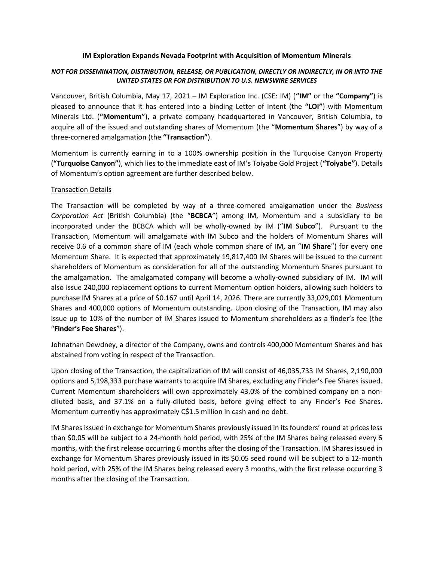#### IM Exploration Expands Nevada Footprint with Acquisition of Momentum Minerals

## NOT FOR DISSEMINATION, DISTRIBUTION, RELEASE, OR PUBLICATION, DIRECTLY OR INDIRECTLY, IN OR INTO THE UNITED STATES OR FOR DISTRIBUTION TO U.S. NEWSWIRE SERVICES

Vancouver, British Columbia, May 17, 2021 – IM Exploration Inc. (CSE: IM) ("IM" or the "Company") is pleased to announce that it has entered into a binding Letter of Intent (the "LOI") with Momentum Minerals Ltd. ("Momentum"), a private company headquartered in Vancouver, British Columbia, to acquire all of the issued and outstanding shares of Momentum (the "Momentum Shares") by way of a three-cornered amalgamation (the "Transaction").

Momentum is currently earning in to a 100% ownership position in the Turquoise Canyon Property ("Turquoise Canyon"), which lies to the immediate east of IM's Toiyabe Gold Project ("Toiyabe"). Details of Momentum's option agreement are further described below.

### Transaction Details

The Transaction will be completed by way of a three-cornered amalgamation under the Business Corporation Act (British Columbia) (the "BCBCA") among IM, Momentum and a subsidiary to be incorporated under the BCBCA which will be wholly-owned by IM ("IM Subco"). Pursuant to the Transaction, Momentum will amalgamate with IM Subco and the holders of Momentum Shares will receive 0.6 of a common share of IM (each whole common share of IM, an "IM Share") for every one Momentum Share. It is expected that approximately 19,817,400 IM Shares will be issued to the current shareholders of Momentum as consideration for all of the outstanding Momentum Shares pursuant to the amalgamation. The amalgamated company will become a wholly-owned subsidiary of IM. IM will also issue 240,000 replacement options to current Momentum option holders, allowing such holders to purchase IM Shares at a price of \$0.167 until April 14, 2026. There are currently 33,029,001 Momentum Shares and 400,000 options of Momentum outstanding. Upon closing of the Transaction, IM may also issue up to 10% of the number of IM Shares issued to Momentum shareholders as a finder's fee (the "Finder's Fee Shares").

Johnathan Dewdney, a director of the Company, owns and controls 400,000 Momentum Shares and has abstained from voting in respect of the Transaction.

Upon closing of the Transaction, the capitalization of IM will consist of 46,035,733 IM Shares, 2,190,000 options and 5,198,333 purchase warrants to acquire IM Shares, excluding any Finder's Fee Shares issued. Current Momentum shareholders will own approximately 43.0% of the combined company on a nondiluted basis, and 37.1% on a fully-diluted basis, before giving effect to any Finder's Fee Shares. Momentum currently has approximately C\$1.5 million in cash and no debt.

IM Shares issued in exchange for Momentum Shares previously issued in its founders' round at prices less than \$0.05 will be subject to a 24-month hold period, with 25% of the IM Shares being released every 6 months, with the first release occurring 6 months after the closing of the Transaction. IM Shares issued in exchange for Momentum Shares previously issued in its \$0.05 seed round will be subject to a 12-month hold period, with 25% of the IM Shares being released every 3 months, with the first release occurring 3 months after the closing of the Transaction.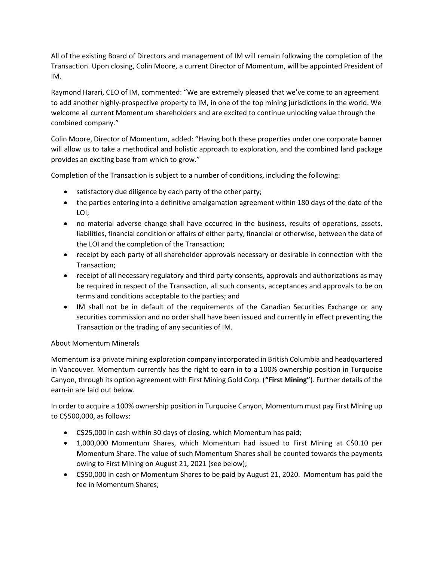All of the existing Board of Directors and management of IM will remain following the completion of the Transaction. Upon closing, Colin Moore, a current Director of Momentum, will be appointed President of IM.

Raymond Harari, CEO of IM, commented: "We are extremely pleased that we've come to an agreement to add another highly-prospective property to IM, in one of the top mining jurisdictions in the world. We welcome all current Momentum shareholders and are excited to continue unlocking value through the combined company."

Colin Moore, Director of Momentum, added: "Having both these properties under one corporate banner will allow us to take a methodical and holistic approach to exploration, and the combined land package provides an exciting base from which to grow."

Completion of the Transaction is subject to a number of conditions, including the following:

- satisfactory due diligence by each party of the other party;
- the parties entering into a definitive amalgamation agreement within 180 days of the date of the LOI;
- no material adverse change shall have occurred in the business, results of operations, assets, liabilities, financial condition or affairs of either party, financial or otherwise, between the date of the LOI and the completion of the Transaction;
- receipt by each party of all shareholder approvals necessary or desirable in connection with the Transaction;
- receipt of all necessary regulatory and third party consents, approvals and authorizations as may be required in respect of the Transaction, all such consents, acceptances and approvals to be on terms and conditions acceptable to the parties; and
- IM shall not be in default of the requirements of the Canadian Securities Exchange or any securities commission and no order shall have been issued and currently in effect preventing the Transaction or the trading of any securities of IM.

# About Momentum Minerals

Momentum is a private mining exploration company incorporated in British Columbia and headquartered in Vancouver. Momentum currently has the right to earn in to a 100% ownership position in Turquoise Canyon, through its option agreement with First Mining Gold Corp. ("First Mining"). Further details of the earn-in are laid out below.

In order to acquire a 100% ownership position in Turquoise Canyon, Momentum must pay First Mining up to C\$500,000, as follows:

- C\$25,000 in cash within 30 days of closing, which Momentum has paid;
- 1,000,000 Momentum Shares, which Momentum had issued to First Mining at C\$0.10 per Momentum Share. The value of such Momentum Shares shall be counted towards the payments owing to First Mining on August 21, 2021 (see below);
- C\$50,000 in cash or Momentum Shares to be paid by August 21, 2020. Momentum has paid the fee in Momentum Shares;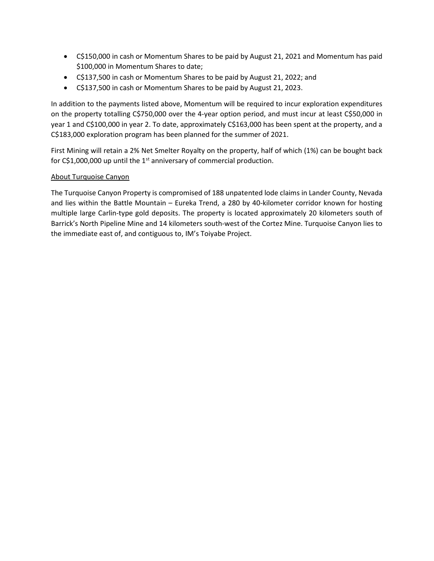- C\$150,000 in cash or Momentum Shares to be paid by August 21, 2021 and Momentum has paid \$100,000 in Momentum Shares to date;
- C\$137,500 in cash or Momentum Shares to be paid by August 21, 2022; and
- C\$137,500 in cash or Momentum Shares to be paid by August 21, 2023.

In addition to the payments listed above, Momentum will be required to incur exploration expenditures on the property totalling C\$750,000 over the 4-year option period, and must incur at least C\$50,000 in year 1 and C\$100,000 in year 2. To date, approximately C\$163,000 has been spent at the property, and a C\$183,000 exploration program has been planned for the summer of 2021.

First Mining will retain a 2% Net Smelter Royalty on the property, half of which (1%) can be bought back for  $C$1,000,000$  up until the 1<sup>st</sup> anniversary of commercial production.

## About Turquoise Canyon

The Turquoise Canyon Property is compromised of 188 unpatented lode claims in Lander County, Nevada and lies within the Battle Mountain – Eureka Trend, a 280 by 40-kilometer corridor known for hosting multiple large Carlin-type gold deposits. The property is located approximately 20 kilometers south of Barrick's North Pipeline Mine and 14 kilometers south-west of the Cortez Mine. Turquoise Canyon lies to the immediate east of, and contiguous to, IM's Toiyabe Project.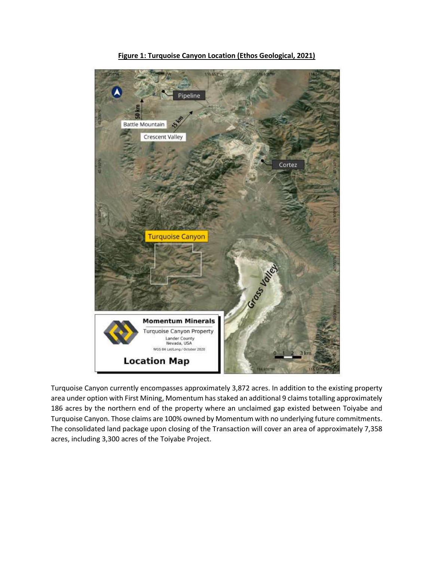

Figure 1: Turquoise Canyon Location (Ethos Geological, 2021)

Turquoise Canyon currently encompasses approximately 3,872 acres. In addition to the existing property area under option with First Mining, Momentum has staked an additional 9 claims totalling approximately 186 acres by the northern end of the property where an unclaimed gap existed between Toiyabe and Turquoise Canyon. Those claims are 100% owned by Momentum with no underlying future commitments. The consolidated land package upon closing of the Transaction will cover an area of approximately 7,358 acres, including 3,300 acres of the Toiyabe Project.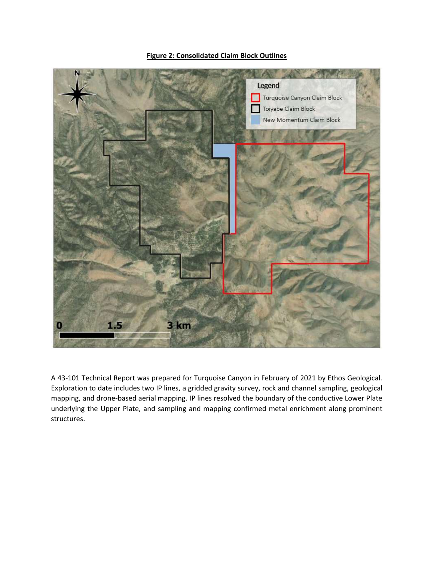## Figure 2: Consolidated Claim Block Outlines



A 43-101 Technical Report was prepared for Turquoise Canyon in February of 2021 by Ethos Geological. Exploration to date includes two IP lines, a gridded gravity survey, rock and channel sampling, geological mapping, and drone-based aerial mapping. IP lines resolved the boundary of the conductive Lower Plate underlying the Upper Plate, and sampling and mapping confirmed metal enrichment along prominent structures.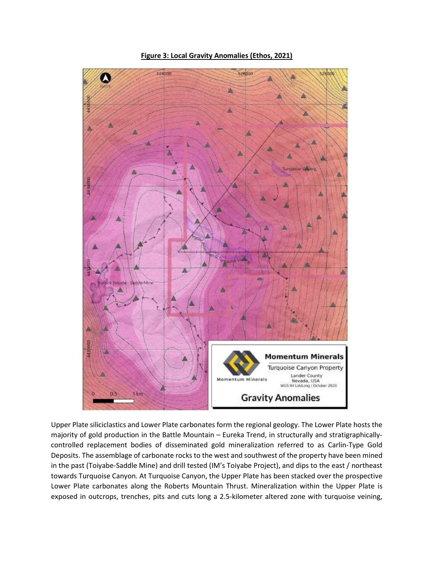

Figure 3: Local Gravity Anomalies (Ethos, 2021)

Upper Plate siliciclastics and Lower Plate carbonates form the regional geology. The Lower Plate hosts the majority of gold production in the Battle Mountain – Eureka Trend, in structurally and stratigraphicallycontrolled replacement bodies of disseminated gold mineralization referred to as Carlin-Type Gold Deposits. The assemblage of carbonate rocks to the west and southwest of the property have been mined in the past (Toiyabe-Saddle Mine) and drill tested (IM's Toiyabe Project), and dips to the east / northeast towards Turquoise Canyon. At Turquoise Canyon, the Upper Plate has been stacked over the prospective Lower Plate carbonates along the Roberts Mountain Thrust. Mineralization within the Upper Plate is exposed in outcrops, trenches, pits and cuts long a 2.5-kilometer altered zone with turquoise veining,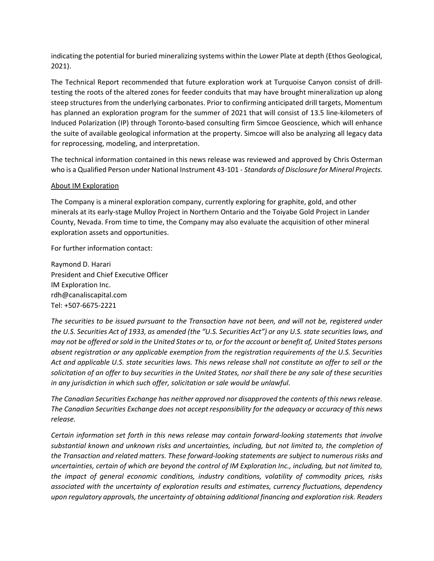indicating the potential for buried mineralizing systems within the Lower Plate at depth (Ethos Geological, 2021).

The Technical Report recommended that future exploration work at Turquoise Canyon consist of drilltesting the roots of the altered zones for feeder conduits that may have brought mineralization up along steep structures from the underlying carbonates. Prior to confirming anticipated drill targets, Momentum has planned an exploration program for the summer of 2021 that will consist of 13.5 line-kilometers of Induced Polarization (IP) through Toronto-based consulting firm Simcoe Geoscience, which will enhance the suite of available geological information at the property. Simcoe will also be analyzing all legacy data for reprocessing, modeling, and interpretation.

The technical information contained in this news release was reviewed and approved by Chris Osterman who is a Qualified Person under National Instrument 43-101 - Standards of Disclosure for Mineral Projects.

## About IM Exploration

The Company is a mineral exploration company, currently exploring for graphite, gold, and other minerals at its early-stage Mulloy Project in Northern Ontario and the Toiyabe Gold Project in Lander County, Nevada. From time to time, the Company may also evaluate the acquisition of other mineral exploration assets and opportunities.

For further information contact:

Raymond D. Harari President and Chief Executive Officer IM Exploration Inc. rdh@canaliscapital.com Tel: +507-6675-2221

The securities to be issued pursuant to the Transaction have not been, and will not be, registered under the U.S. Securities Act of 1933, as amended (the "U.S. Securities Act") or any U.S. state securities laws, and may not be offered or sold in the United States or to, or for the account or benefit of, United States persons absent registration or any applicable exemption from the registration requirements of the U.S. Securities Act and applicable U.S. state securities laws. This news release shall not constitute an offer to sell or the solicitation of an offer to buy securities in the United States, nor shall there be any sale of these securities in any jurisdiction in which such offer, solicitation or sale would be unlawful.

The Canadian Securities Exchange has neither approved nor disapproved the contents of this news release. The Canadian Securities Exchange does not accept responsibility for the adequacy or accuracy of this news release.

Certain information set forth in this news release may contain forward-looking statements that involve substantial known and unknown risks and uncertainties, including, but not limited to, the completion of the Transaction and related matters. These forward-looking statements are subject to numerous risks and uncertainties, certain of which are beyond the control of IM Exploration Inc., including, but not limited to, the impact of general economic conditions, industry conditions, volatility of commodity prices, risks associated with the uncertainty of exploration results and estimates, currency fluctuations, dependency upon regulatory approvals, the uncertainty of obtaining additional financing and exploration risk. Readers